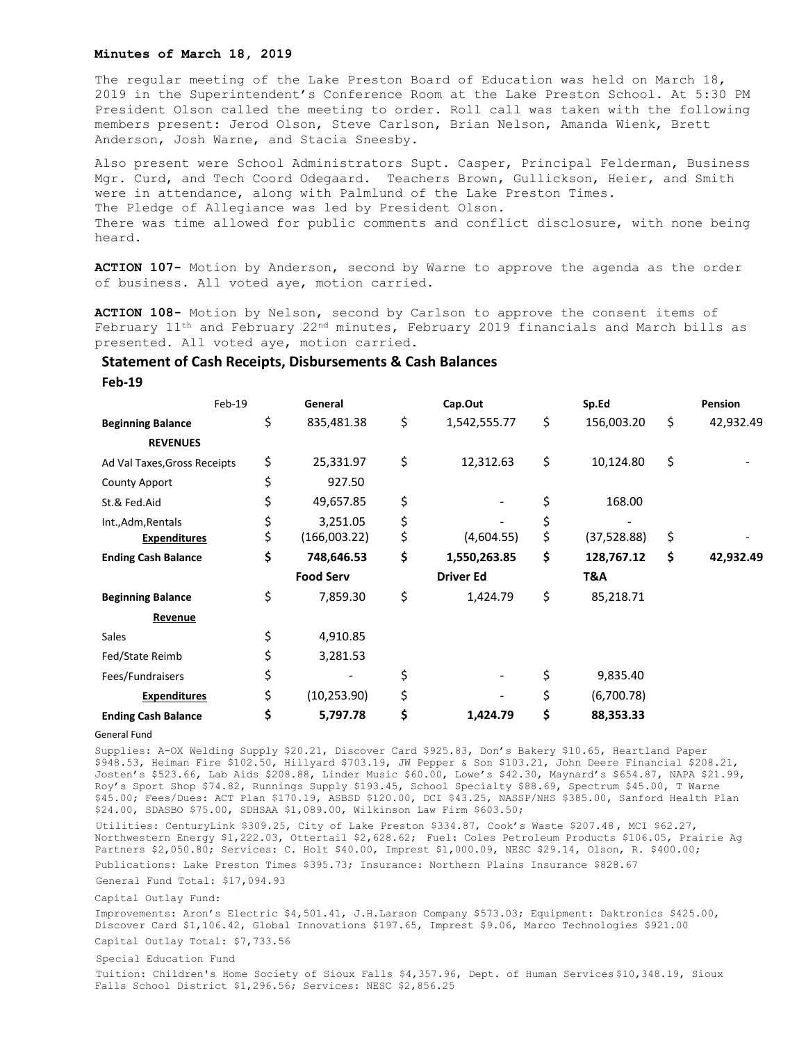## **Minutes of March 18, 2019**

The regular meeting of the Lake Preston Board of Education was held on March 18, 2019 in the Superintendent's Conference Room at the Lake Preston School. At 5:30 PM President Olson called the meeting to order. Roll call was taken with the following members present: Jerod Olson, Steve Carlson, Brian Nelson, Amanda Wienk, Brett Anderson, Josh Warne, and Stacia Sneesby.

Also present were School Administrators Supt. Casper, Principal Felderman, Business Mgr. Curd, and Tech Coord Odegaard. Teachers Brown, Gullickson, Heier, and Smith were in attendance, along with Palmlund of the Lake Preston Times. The Pledge of Allegiance was led by President Olson. There was time allowed for public comments and conflict disclosure, with none being heard.

**ACTION 107-** Motion by Anderson, second by Warne to approve the agenda as the order of business. All voted aye, motion carried.

**ACTION 108-** Motion by Nelson, second by Carlson to approve the consent items of February 11<sup>th</sup> and February 22<sup>nd</sup> minutes, February 2019 financials and March bills as presented. All voted aye, motion carried.

## **Statement of Cash Receipts, Disbursements & Cash Balances**

**Feb-19**

|                              | Feb-19 | General            | Cap.Out            | Sp.Ed             | Pension         |
|------------------------------|--------|--------------------|--------------------|-------------------|-----------------|
| <b>Beginning Balance</b>     |        | \$<br>835,481.38   | \$<br>1,542,555.77 | \$<br>156,003.20  | \$<br>42,932.49 |
| <b>REVENUES</b>              |        |                    |                    |                   |                 |
| Ad Val Taxes, Gross Receipts |        | \$<br>25,331.97    | \$<br>12,312.63    | \$<br>10,124.80   | \$              |
| <b>County Apport</b>         |        | \$<br>927.50       |                    |                   |                 |
| St.& Fed.Aid                 |        | \$<br>49,657.85    | \$                 | \$<br>168.00      |                 |
| Int., Adm, Rentals           |        | \$<br>3,251.05     | \$                 | \$                |                 |
| <b>Expenditures</b>          |        | \$<br>(166,003.22) | \$<br>(4,604.55)   | \$<br>(37,528.88) | \$              |
| <b>Ending Cash Balance</b>   |        | \$<br>748,646.53   | \$<br>1,550,263.85 | \$<br>128,767.12  | \$<br>42,932.49 |
|                              |        | <b>Food Serv</b>   | <b>Driver Ed</b>   | T&A               |                 |
| <b>Beginning Balance</b>     |        | \$<br>7,859.30     | \$<br>1,424.79     | \$<br>85,218.71   |                 |
| Revenue                      |        |                    |                    |                   |                 |
| Sales                        |        | \$<br>4,910.85     |                    |                   |                 |
| Fed/State Reimb              |        | \$<br>3,281.53     |                    |                   |                 |
| Fees/Fundraisers             |        | \$                 | \$                 | \$<br>9,835.40    |                 |
| <b>Expenditures</b>          |        | \$<br>(10, 253.90) | \$                 | \$<br>(6,700.78)  |                 |
| <b>Ending Cash Balance</b>   |        | \$<br>5,797.78     | \$<br>1,424.79     | \$<br>88,353.33   |                 |

General Fund

Supplies: A-OX Welding Supply \$20.21, Discover Card \$925.83, Don's Bakery \$10.65, Heartland Paper \$948.53, Heiman Fire \$102.50, Hillyard \$703.19, JW Pepper & Son \$103.21, John Deere Financial \$208.21, Josten's \$523.66, Lab Aids \$208.88, Linder Music \$60.00, Lowe's \$42.30, Maynard's \$654.87, NAPA \$21.99, Roy's Sport Shop \$74.82, Runnings Supply \$193.45, School Specialty \$88.69, Spectrum \$45.00, T Warne \$45.00; Fees/Dues: ACT Plan \$170.19, ASBSD \$120.00, DCI \$43.25, NASSP/NHS \$385.00, Sanford Health Plan \$24.00, SDASBO \$75.00, SDHSAA \$1,089.00, Wilkinson Law Firm \$603.50;

Utilities: CenturyLink \$309.25, City of Lake Preston \$334.87, Cook's Waste \$207.48 , MCI \$62.27, Northwestern Energy \$1,222.03, Ottertail \$2,628.62; Fuel: Coles Petroleum Products \$106.05, Prairie Ag Partners \$2,050.80; Services: C. Holt \$40.00, Imprest \$1,000.09, NESC \$29.14, Olson, R. \$400.00; Publications: Lake Preston Times \$395.73; Insurance: Northern Plains Insurance \$828.67

General Fund Total: \$17,094.93

## Capital Outlay Fund:

Improvements: Aron's Electric \$4,501.41, J.H.Larson Company \$573.03; Equipment: Daktronics \$425.00, Discover Card \$1,106.42, Global Innovations \$197.65, Imprest \$9.06, Marco Technologies \$921.00 Capital Outlay Total: \$7,733.56

## Special Education Fund

Tuition: Children's Home Society of Sioux Falls \$4,357.96, Dept. of Human Services \$10,348.19, Sioux Falls School District \$1,296.56; Services: NESC \$2,856.25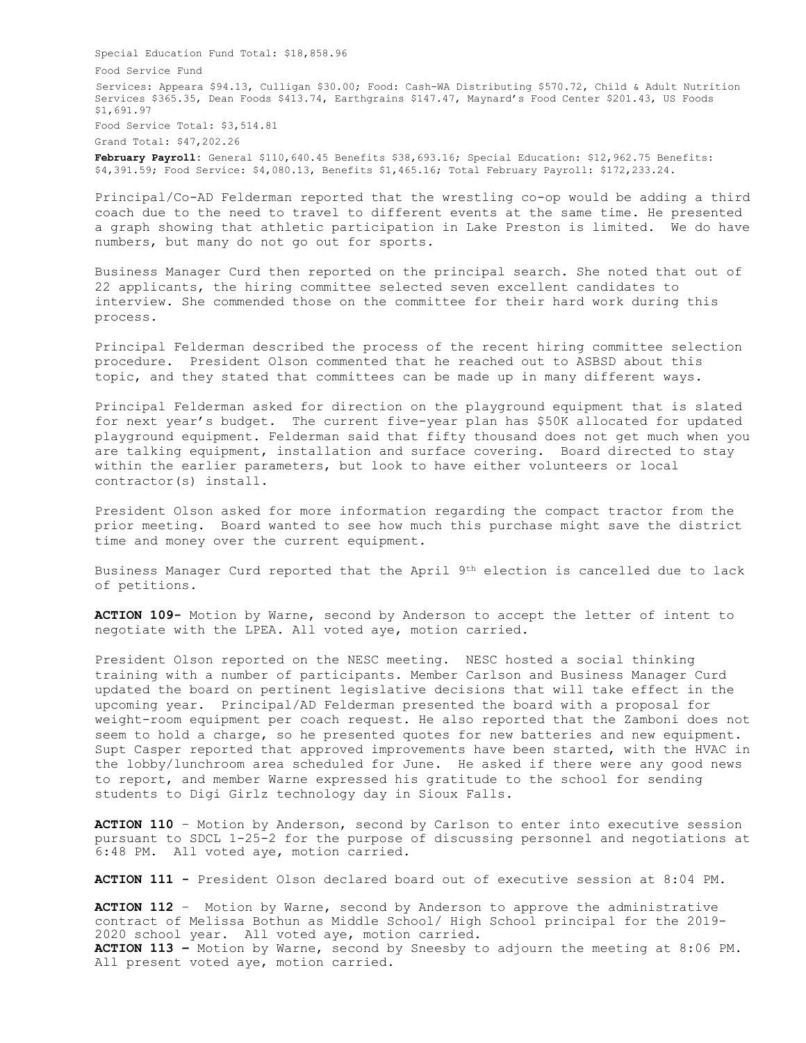Special Education Fund Total: \$18,858.96 Food Service Fund Services: Appeara \$94.13, Culligan \$30.00; Food: Cash-WA Distributing \$570.72, Child & Adult Nutrition Services \$365.35, Dean Foods \$413.74, Earthgrains \$147.47, Maynard's Food Center \$201.43, US Foods \$1,691.97 Food Service Total: \$3,514.81

Grand Total: \$47,202.26

**February Payroll:** General \$110,640.45 Benefits \$38,693.16; Special Education: \$12,962.75 Benefits: \$4,391.59; Food Service: \$4,080.13, Benefits \$1,465.16; Total February Payroll: \$172,233.24.

Principal/Co-AD Felderman reported that the wrestling co-op would be adding a third coach due to the need to travel to different events at the same time. He presented a graph showing that athletic participation in Lake Preston is limited. We do have numbers, but many do not go out for sports.

Business Manager Curd then reported on the principal search. She noted that out of 22 applicants, the hiring committee selected seven excellent candidates to interview. She commended those on the committee for their hard work during this process.

Principal Felderman described the process of the recent hiring committee selection procedure. President Olson commented that he reached out to ASBSD about this topic, and they stated that committees can be made up in many different ways.

Principal Felderman asked for direction on the playground equipment that is slated for next year's budget. The current five-year plan has \$50K allocated for updated playground equipment. Felderman said that fifty thousand does not get much when you are talking equipment, installation and surface covering. Board directed to stay within the earlier parameters, but look to have either volunteers or local contractor(s) install.

President Olson asked for more information regarding the compact tractor from the prior meeting. Board wanted to see how much this purchase might save the district time and money over the current equipment.

Business Manager Curd reported that the April 9th election is cancelled due to lack of petitions.

**ACTION 109-** Motion by Warne, second by Anderson to accept the letter of intent to negotiate with the LPEA. All voted aye, motion carried.

President Olson reported on the NESC meeting. NESC hosted a social thinking training with a number of participants. Member Carlson and Business Manager Curd updated the board on pertinent legislative decisions that will take effect in the upcoming year. Principal/AD Felderman presented the board with a proposal for weight-room equipment per coach request. He also reported that the Zamboni does not seem to hold a charge, so he presented quotes for new batteries and new equipment. Supt Casper reported that approved improvements have been started, with the HVAC in the lobby/lunchroom area scheduled for June. He asked if there were any good news to report, and member Warne expressed his gratitude to the school for sending students to Digi Girlz technology day in Sioux Falls.

**ACTION 110** – Motion by Anderson, second by Carlson to enter into executive session pursuant to SDCL 1-25-2 for the purpose of discussing personnel and negotiations at 6:48 PM. All voted aye, motion carried.

**ACTION 111 -** President Olson declared board out of executive session at 8:04 PM.

**ACTION 112** – Motion by Warne, second by Anderson to approve the administrative contract of Melissa Bothun as Middle School/ High School principal for the 2019- 2020 school year. All voted aye, motion carried. **ACTION 113 –** Motion by Warne, second by Sneesby to adjourn the meeting at 8:06 PM. All present voted aye, motion carried.